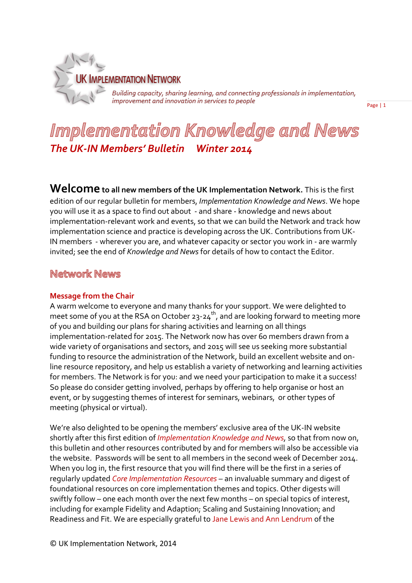

Building capacity, sharing learning, and connecting professionals in implementation,<br>improvement and innovation in services to people

Page | 1

# Implementation Knowledge and News *The UK-IN Members' Bulletin Winter 2014*

**Welcome to all new members of the UK Implementation Network.** This is the first edition of our regular bulletin for members, *Implementation Knowledge and News*. We hope you will use it as a space to find out about - and share - knowledge and news about implementation-relevant work and events, so that we can build the Network and track how implementation science and practice is developing across the UK. Contributions from UK-IN members - wherever you are, and whatever capacity or sector you work in - are warmly invited; see the end of *Knowledge and News* for details of how to contact the Editor.

# **Network News**

#### **Message from the Chair**

A warm welcome to everyone and many thanks for your support. We were delighted to meet some of you at the RSA on October 23-24<sup>th</sup>, and are looking forward to meeting more of you and building our plans for sharing activities and learning on all things implementation-related for 2015. The Network now has over 60 members drawn from a wide variety of organisations and sectors, and 2015 will see us seeking more substantial funding to resource the administration of the Network, build an excellent website and online resource repository, and help us establish a variety of networking and learning activities for members. The Network is for you: and we need your participation to make it a success! So please do consider getting involved, perhaps by offering to help organise or host an event, or by suggesting themes of interest for seminars, webinars, or other types of meeting (physical or virtual).

We're also delighted to be opening the members' exclusive area of the UK-IN website shortly after this first edition of *Implementation Knowledge and News,* so that from now on, this bulletin and other resources contributed by and for members will also be accessible via the website. Passwords will be sent to all members in the second week of December 2014. When you log in, the first resource that you will find there will be the first in a series of regularly updated *Core Implementation Resources –* an invaluable summary and digest of foundational resources on core implementation themes and topics. Other digests will swiftly follow – one each month over the next few months – on special topics of interest, including for example Fidelity and Adaption; Scaling and Sustaining Innovation; and Readiness and Fit. We are especially grateful to Jane Lewis and Ann Lendrum of the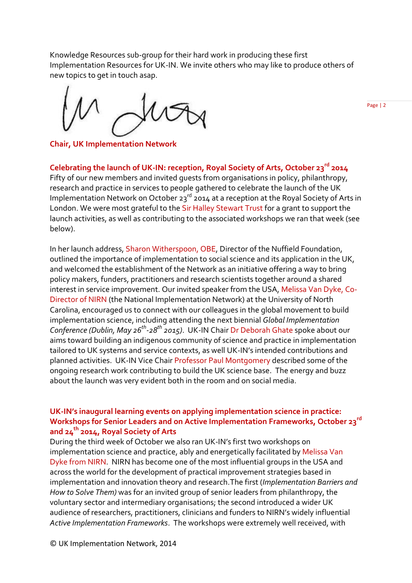Knowledge Resources sub-group for their hard work in producing these first Implementation Resources for UK-IN. We invite others who may like to produce others of new topics to get in touch asap.

**Chair, UK Implementation Network**

**Celebrating the launch of UK-IN: reception, Royal Society of Arts, October 23rd 2014**

Fifty of our new members and invited guests from organisations in policy, philanthropy, research and practice in services to people gathered to celebrate the launch of the UK Implementation Network on October 23<sup>rd</sup> 2014 at a reception at the Royal Society of Arts in London. We were most grateful to the Sir Halley Stewart Trust for a grant to support the launch activities, as well as contributing to the associated workshops we ran that week (see below).

In her launch address, Sharon Witherspoon, OBE, Director of the Nuffield Foundation, outlined the importance of implementation to social science and its application in the UK, and welcomed the establishment of the Network as an initiative offering a way to bring policy makers, funders, practitioners and research scientists together around a shared interest in service improvement. Our invited speaker from the USA, Melissa Van Dyke, Co-Director of NIRN (the National Implementation Network) at the University of North Carolina, encouraged us to connect with our colleagues in the global movement to build implementation science, including attending the next biennial *Global Implementation Conference (Dublin, May 26th -28th 2015)*. UK-IN Chair Dr Deborah Ghate spoke about our aims toward building an indigenous community of science and practice in implementation tailored to UK systems and service contexts, as well UK-IN's intended contributions and planned activities. UK-IN Vice Chair Professor Paul Montgomery described some of the ongoing research work contributing to build the UK science base. The energy and buzz about the launch was very evident both in the room and on social media.

# **UK-IN's inaugural learning events on applying implementation science in practice: Workshops for Senior Leaders and on Active Implementation Frameworks, October 23rd and 24th 2014, Royal Society of Arts**

During the third week of October we also ran UK-IN's first two workshops on implementation science and practice, ably and energetically facilitated by Melissa Van Dyke from NIRN. NIRN has become one of the most influential groups in the USA and across the world for the development of practical improvement strategies based in implementation and innovation theory and research.The first (*Implementation Barriers and How to Solve Them)* was for an invited group of senior leaders from philanthropy, the voluntary sector and intermediary organisations; the second introduced a wider UK audience of researchers, practitioners, clinicians and funders to NIRN's widely influential *Active Implementation Frameworks*. The workshops were extremely well received, with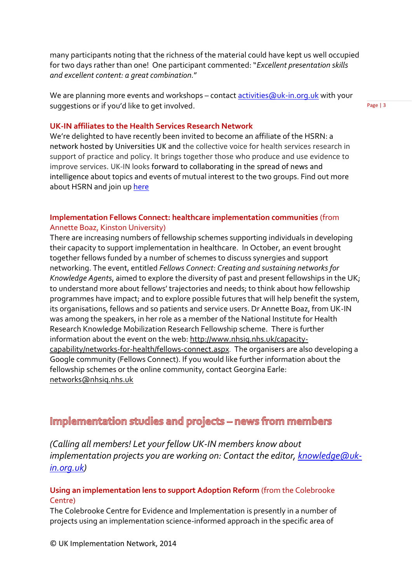many participants noting that the richness of the material could have kept us well occupied for two days rather than one! One participant commented: "*Excellent presentation skills and excellent content: a great combination.*"

We are planning more events and workshops – contact activities (auk-in.org.uk with your suggestions or if you'd like to get involved.

Page | 3

#### **UK-IN affiliates to the Health Services Research Network**

We're delighted to have recently been invited to become an affiliate of the HSRN: a network hosted by Universities UK and the collective voice for health services research in support of practice and policy. It brings together those who produce and use evidence to improve services. UK-IN looks forward to collaborating in the spread of news and intelligence about topics and events of mutual interest to the two groups. Find out more about HSRN and join up [here](http://www.hsrlive.org/)

### **Implementation Fellows Connect: healthcare implementation communities** (from Annette Boaz, Kinston University)

There are increasing numbers of fellowship schemes supporting individuals in developing their capacity to support implementation in healthcare. In October, an event brought together fellows funded by a number of schemes to discuss synergies and support networking. The event, entitled *Fellows Connect*: *Creating and sustaining networks for Knowledge Agents*, aimed to explore the diversity of past and present fellowships in the UK; to understand more about fellows' trajectories and needs; to think about how fellowship programmes have impact; and to explore possible futures that will help benefit the system, its organisations, fellows and so patients and service users. Dr Annette Boaz, from UK-IN was among the speakers, in her role as a member of the National Institute for Health Research Knowledge Mobilization Research Fellowship scheme. There is further information about the event on the web[: http://www.nhsiq.nhs.uk/capacity](http://www.nhsiq.nhs.uk/capacity-capability/networks-for-health/fellows-connect.aspx)[capability/networks-for-health/fellows-connect.aspx](http://www.nhsiq.nhs.uk/capacity-capability/networks-for-health/fellows-connect.aspx). The organisers are also developing a Google community (Fellows Connect). If you would like further information about the fellowship schemes or the online community, contact Georgina Earle: [networks@nhsiq.nhs.uk](mailto:networks@nhsiq.nhs.uk)

# Implementation studies and projects - news from members

*(Calling all members! Let your fellow UK-IN members know about*  implementation projects you are working on: Contact the editor, **knowledge@uk***[in.org.uk\)](mailto:knowledge@uk-in.org.uk)* 

#### **Using an implementation lens to support Adoption Reform** (from the Colebrooke Centre)

The Colebrooke Centre for Evidence and Implementation is presently in a number of projects using an implementation science-informed approach in the specific area of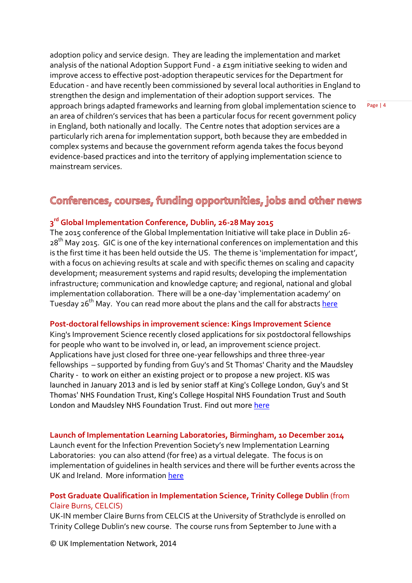adoption policy and service design. They are leading the implementation and market analysis of the national Adoption Support Fund - a £19m initiative seeking to widen and improve access to effective post-adoption therapeutic services for the Department for Education - and have recently been commissioned by several local authorities in England to strengthen the design and implementation of their adoption support services. The approach brings adapted frameworks and learning from global implementation science to an area of children's services that has been a particular focus for recent government policy in England, both nationally and locally. The Centre notes that adoption services are a particularly rich arena for implementation support, both because they are embedded in complex systems and because the government reform agenda takes the focus beyond evidence-based practices and into the territory of applying implementation science to mainstream services.

# Conferences, courses, funding opportunities, jobs and other news

# **3 rd Global Implementation Conference, Dublin, 26-28 May 2015**

The 2015 conference of the Global Implementation Initiative will take place in Dublin 26- 28th May 2015. GIC is one of the key international conferences on implementation and this is the first time it has been held outside the US. The theme is 'implementation for impact', with a focus on achieving results at scale and with specific themes on scaling and capacity development; measurement systems and rapid results; developing the implementation infrastructure; communication and knowledge capture; and regional, national and global implementation collaboration. There will be a one-day 'implementation academy' on Tuesday 26<sup>th</sup> May. You can read more about the plans and the call for abstract[s here](http://www.globalimplementation.org/gic)

#### **Post-doctoral fellowships in improvement science: Kings Improvement Science**

King's Improvement Science recently closed applications for six postdoctoral fellowships for people who want to be involved in, or lead, an improvement science project. Applications have just closed for three one-year fellowships and three three-year fellowships – supported by funding from Guy's and St Thomas' Charity and the Maudsley Charity - to work on either an existing project or to propose a new project. KIS was launched in January 2013 and is led by senior staff at King's College London, Guy's and St Thomas' NHS Foundation Trust, King's College Hospital NHS Foundation Trust and South London and Maudsley NHS Foundation Trust. Find out more [here](http://www.kingsimprovementscience.org/)

#### **Launch of Implementation Learning Laboratories, Birmingham, 10 December 2014**

Launch event for the Infection Prevention Society's new Implementation Learning Laboratories: you can also attend (for free) as a virtual delegate. The focus is on implementation of guidelines in health services and there will be further events across the UK and Ireland. More information [here](https://www.eventsforce.net/fitwise/frontend/reg/thome.csp?pageID=97130&eventID=254&eventID=254)

### **Post Graduate Qualification in Implementation Science, Trinity College Dublin** (from Claire Burns, CELCIS)

UK-IN member Claire Burns from CELCIS at the University of Strathclyde is enrolled on Trinity College Dublin's new course. The course runs from September to June with a

© UK Implementation Network, 2014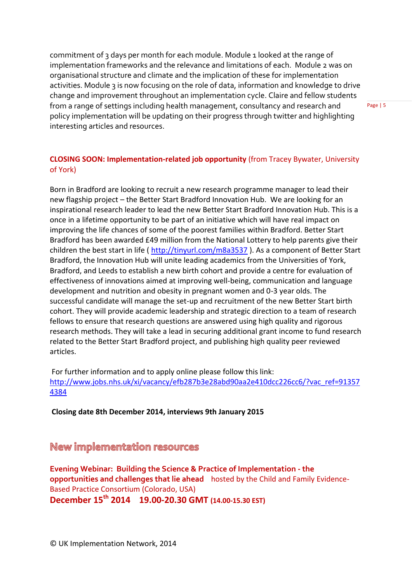commitment of 3 days per month for each module. Module 1 looked at the range of implementation frameworks and the relevance and limitations of each. Module 2 was on organisational structure and climate and the implication of these for implementation activities. Module 3 is now focusing on the role of data, information and knowledge to drive change and improvement throughout an implementation cycle. Claire and fellow students from a range of settings including health management, consultancy and research and policy implementation will be updating on their progress through twitter and highlighting interesting articles and resources.

### **CLOSING SOON: Implementation-related job opportunity** (from Tracey Bywater, University of York)

Born in Bradford are looking to recruit a new research programme manager to lead their new flagship project – the Better Start Bradford Innovation Hub. We are looking for an inspirational research leader to lead the new Better Start Bradford Innovation Hub. This is a once in a lifetime opportunity to be part of an initiative which will have real impact on improving the life chances of some of the poorest families within Bradford. Better Start Bradford has been awarded £49 million from the National Lottery to help parents give their children the best start in life (<http://tinyurl.com/m8a3537> ). As a component of Better Start Bradford, the Innovation Hub will unite leading academics from the Universities of York, Bradford, and Leeds to establish a new birth cohort and provide a centre for evaluation of effectiveness of innovations aimed at improving well-being, communication and language development and nutrition and obesity in pregnant women and 0-3 year olds. The successful candidate will manage the set-up and recruitment of the new Better Start birth cohort. They will provide academic leadership and strategic direction to a team of research fellows to ensure that research questions are answered using high quality and rigorous research methods. They will take a lead in securing additional grant income to fund research related to the Better Start Bradford project, and publishing high quality peer reviewed articles.

For further information and to apply online please follow this link: [http://www.jobs.nhs.uk/xi/vacancy/efb287b3e28abd90aa2e410dcc226cc6/?vac\\_ref=91357](http://www.jobs.nhs.uk/xi/vacancy/efb287b3e28abd90aa2e410dcc226cc6/?vac_ref=913574384) [4384](http://www.jobs.nhs.uk/xi/vacancy/efb287b3e28abd90aa2e410dcc226cc6/?vac_ref=913574384)

**Closing date 8th December 2014, interviews 9th January 2015**

New implementation resources

**Evening Webinar: Building the Science & Practice of Implementation - the opportunities and challenges that lie ahead** hosted by the Child and Family Evidence-Based Practice Consortium (Colorado, USA)

**December 15th 2014 19.00-20.30 GMT (14.00-15.30 EST)**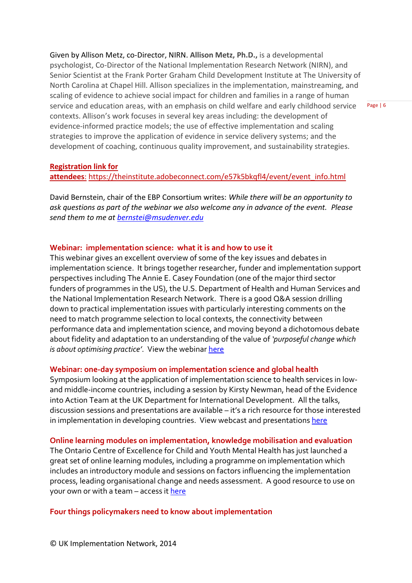Given by Allison Metz, co-Director, NIRN. **Allison Metz, Ph.D.,** is a developmental psychologist, Co-Director of the National Implementation Research Network (NIRN), and Senior Scientist at the Frank Porter Graham Child Development Institute at The University of North Carolina at Chapel Hill. Allison specializes in the implementation, mainstreaming, and scaling of evidence to achieve social impact for children and families in a range of human service and education areas, with an emphasis on child welfare and early childhood service contexts. Allison's work focuses in several key areas including: the development of evidence-informed practice models; the use of effective implementation and scaling strategies to improve the application of evidence in service delivery systems; and the development of coaching, continuous quality improvement, and sustainability strategies.

Page | 6

#### **Registration link for**

attendees: [https://theinstitute.adobeconnect.com/e57k5bkqfl4/event/event\\_info.html](https://theinstitute.adobeconnect.com/e57k5bkqfl4/event/event_info.html)

David Bernstein, chair of the EBP Consortium writes: *While there will be an opportunity to ask questions as part of the webinar we also welcome any in advance of the event. Please send them to me at [bernstei@msudenver.edu](mailto:bernstei@msudenver.edu)*

#### **Webinar: implementation science: what it is and how to use it**

This webinar gives an excellent overview of some of the key issues and debates in implementation science. It brings together researcher, funder and implementation support perspectives including The Annie E. Casey Foundation (one of the major third sector funders of programmes in the US), the U.S. Department of Health and Human Services and the National Implementation Research Network. There is a good Q&A session drilling down to practical implementation issues with particularly interesting comments on the need to match programme selection to local contexts, the connectivity between performance data and implementation science, and moving beyond a dichotomous debate about fidelity and adaptation to an understanding of the value of *'purposeful change which is about optimising practice'*. View the webinar [here](http://www.mathematica-mpr.com/events/cire-forum-using-implementation-science)

#### **Webinar: one-day symposium on implementation science and global health**

Symposium looking at the application of implementation science to health services in lowand middle-income countries, including a session by Kirsty Newman, head of the Evidence into Action Team at the UK Department for International Development. All the talks, discussion sessions and presentations are available – it's a rich resource for those interested in implementation in developing countries. View webcast and presentation[s here](http://www.fhi360.org/news/symposium-implementation-science-global-health-maximizing-impact-imperfect-world)

#### **Online learning modules on implementation, knowledge mobilisation and evaluation**

The Ontario Centre of Excellence for Child and Youth Mental Health has just launched a great set of online learning modules, including a programme on implementation which includes an introductory module and sessions on factors influencing the implementation process, leading organisational change and needs assessment. A good resource to use on your own or with a team – access it [here](http://www.excellenceforchildandyouth.ca/resource-hub/learning-modules)

#### **Four things policymakers need to know about implementation**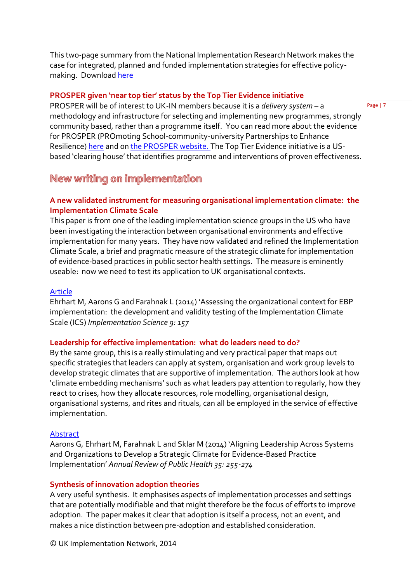This two-page summary from the National Implementation Research Network makes the case for integrated, planned and funded implementation strategies for effective policymaking. Download [here](http://fpg.unc.edu/node/6666)

#### **PROSPER given 'near top tier' status by the Top Tier Evidence initiative**

PROSPER will be of interest to UK-IN members because it is a *delivery system* – a methodology and infrastructure for selecting and implementing new programmes, strongly community based, rather than a programme itself. You can read more about the evidence for PROSPER (PROmoting School-community-university Partnerships to Enhance Resilience) [here](http://toptierevidence.org/programs-reviewed/prosper) and o[n the PROSPER website.](http://www.prosper.ppsi.iastate.edu/) The Top Tier Evidence initiative is a USbased 'clearing house' that identifies programme and interventions of proven effectiveness.

# New writing on implementation

# **A new validated instrument for measuring organisational implementation climate: the Implementation Climate Scale**

This paper is from one of the leading implementation science groups in the US who have been investigating the interaction between organisational environments and effective implementation for many years. They have now validated and refined the Implementation Climate Scale, a brief and pragmatic measure of the strategic climate for implementation of evidence-based practices in public sector health settings. The measure is eminently useable: now we need to test its application to UK organisational contexts.

#### [Article](http://www.implementationscience.com/content/9/1/157)

Ehrhart M, Aarons G and Farahnak L (2014) 'Assessing the organizational context for EBP implementation: the development and validity testing of the Implementation Climate Scale (ICS) *Implementation Science 9: 157*

#### **Leadership for effective implementation: what do leaders need to do?**

By the same group, this is a really stimulating and very practical paper that maps out specific strategies that leaders can apply at system, organisation and work group levels to develop strategic climates that are supportive of implementation. The authors look at how 'climate embedding mechanisms' such as what leaders pay attention to regularly, how they react to crises, how they allocate resources, role modelling, organisational design, organisational systems, and rites and rituals, can all be employed in the service of effective implementation.

#### [Abstract](http://www.annualreviews.org/doi/abs/10.1146/annurev-publhealth-032013-182447)

Aarons G, Ehrhart M, Farahnak L and Sklar M (2014) 'Aligning Leadership Across Systems and Organizations to Develop a Strategic Climate for Evidence-Based Practice Implementation' *Annual Review of Public Health 35: 255-274*

#### **Synthesis of innovation adoption theories**

A very useful synthesis. It emphasises aspects of implementation processes and settings that are potentially modifiable and that might therefore be the focus of efforts to improve adoption. The paper makes it clear that adoption is itself a process, not an event, and makes a nice distinction between pre-adoption and established consideration.

© UK Implementation Network, 2014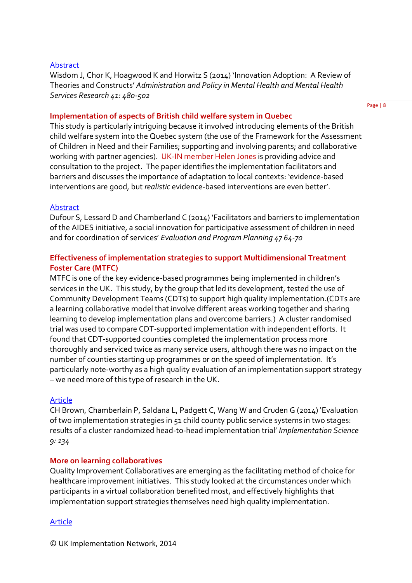#### **[Abstract](http://link.springer.com/article/10.1007%2Fs10488-013-0486-4)**

Wisdom J, Chor K, Hoagwood K and Horwitz S (2014) 'Innovation Adoption: A Review of Theories and Constructs' *Administration and Policy in Mental Health and Mental Health Services Research 41: 480-502*

#### **Implementation of aspects of British child welfare system in Quebec**

This study is particularly intriguing because it involved introducing elements of the British child welfare system into the Quebec system (the use of the Framework for the Assessment of Children in Need and their Families; supporting and involving parents; and collaborative working with partner agencies). UK-IN member Helen Jones is providing advice and consultation to the project. The paper identifies the implementation facilitators and barriers and discusses the importance of adaptation to local contexts: 'evidence-based interventions are good, but *realistic* evidence-based interventions are even better'.

#### [Abstract](http://www.sciencedirect.com/science/article/pii/S0149718914000883)

Dufour S, Lessard D and Chamberland C (2014) 'Facilitators and barriers to implementation of the AIDES initiative, a social innovation for participative assessment of children in need and for coordination of services' *Evaluation and Program Planning 47 64-70*

### **Effectiveness of implementation strategies to support Multidimensional Treatment Foster Care (MTFC)**

MTFC is one of the key evidence-based programmes being implemented in children's services in the UK. This study, by the group that led its development, tested the use of Community Development Teams (CDTs) to support high quality implementation.(CDTs are a learning collaborative model that involve different areas working together and sharing learning to develop implementation plans and overcome barriers.) A cluster randomised trial was used to compare CDT-supported implementation with independent efforts. It found that CDT-supported counties completed the implementation process more thoroughly and serviced twice as many service users, although there was no impact on the number of counties starting up programmes or on the speed of implementation. It's particularly note-worthy as a high quality evaluation of an implementation support strategy – we need more of this type of research in the UK.

#### [Article](http://www.implementationscience.com/content/9/1/134)

CH Brown, Chamberlain P, Saldana L, Padgett C, Wang W and Cruden G (2014) 'Evaluation of two implementation strategies in 51 child county public service systems in two stages: results of a cluster randomized head-to-head implementation trial' *Implementation Science 9: 134*

#### **More on learning collaboratives**

Quality Improvement Collaboratives are emerging as the facilitating method of choice for healthcare improvement initiatives. This study looked at the circumstances under which participants in a virtual collaboration benefited most, and effectively highlights that implementation support strategies themselves need high quality implementation.

#### [Article](http://download.springer.com/static/pdf/31/art%253A10.1007%252Fs11606-013-2668-x.pdf?auth66=1412509773_bec1bdc5f1dbcb50b4ca0460b5eb81c0&ext=.pdf)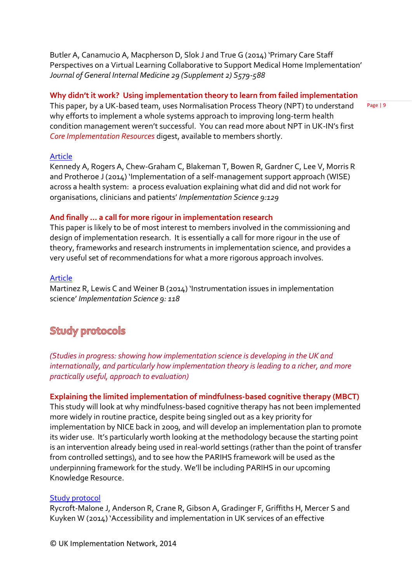Butler A, Canamucio A, Macpherson D, Slok J and True G (2014) 'Primary Care Staff Perspectives on a Virtual Learning Collaborative to Support Medical Home Implementation' *Journal of General Internal Medicine 29 (Supplement 2) S579-588*

#### **Why didn't it work? Using implementation theory to learn from failed implementation**

This paper, by a UK-based team, uses Normalisation Process Theory (NPT) to understand why efforts to implement a whole systems approach to improving long-term health condition management weren't successful. You can read more about NPT in UK-IN's first *Core Implementation Resources* digest, available to members shortly.

#### [Article](http://www.implementationscience.com/content/9/1/129)

Kennedy A, Rogers A, Chew-Graham C, Blakeman T, Bowen R, Gardner C, Lee V, Morris R and Protheroe J (2014) 'Implementation of a self-management support approach (WISE) across a health system: a process evaluation explaining what did and did not work for organisations, clinicians and patients' *Implementation Science 9:129*

#### **And finally … a call for more rigour in implementation research**

This paper is likely to be of most interest to members involved in the commissioning and design of implementation research. It is essentially a call for more rigour in the use of theory, frameworks and research instruments in implementation science, and provides a very useful set of recommendations for what a more rigorous approach involves.

#### [Article](http://www.implementationscience.com/content/9/1/118)

Martinez R, Lewis C and Weiner B (2014) 'Instrumentation issues in implementation science' *Implementation Science 9: 118*

# **Study protocols**

*(Studies in progress: showing how implementation science is developing in the UK and internationally, and particularly how implementation theory is leading to a richer, and more practically useful, approach to evaluation)*

# **Explaining the limited implementation of mindfulness-based cognitive therapy (MBCT)**

This study will look at why mindfulness-based cognitive therapy has not been implemented more widely in routine practice, despite being singled out as a key priority for implementation by NICE back in 2009, and will develop an implementation plan to promote its wider use. It's particularly worth looking at the methodology because the starting point is an intervention already being used in real-world settings (rather than the point of transfer from controlled settings), and to see how the PARIHS framework will be used as the underpinning framework for the study. We'll be including PARIHS in our upcoming Knowledge Resource.

#### [Study protocol](http://www.implementationscience.com/content/9/1/62)

Rycroft-Malone J, Anderson R, Crane R, Gibson A, Gradinger F, Griffiths H, Mercer S and Kuyken W (2014) 'Accessibility and implementation in UK services of an effective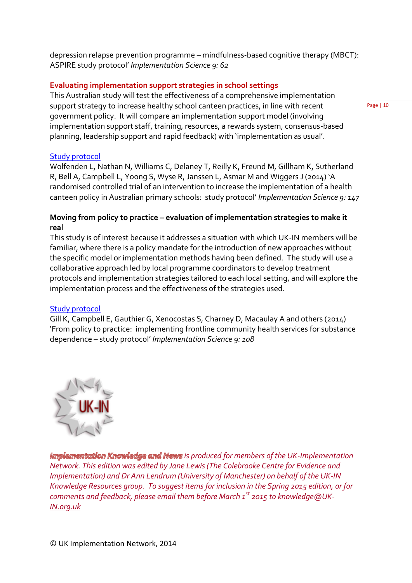depression relapse prevention programme – mindfulness-based cognitive therapy (MBCT): ASPIRE study protocol' *Implementation Science 9: 62*

### **Evaluating implementation support strategies in school settings**

This Australian study will test the effectiveness of a comprehensive implementation support strategy to increase healthy school canteen practices, in line with recent government policy. It will compare an implementation support model (involving implementation support staff, training, resources, a rewards system, consensus-based planning, leadership support and rapid feedback) with 'implementation as usual'.

[Study protocol](http://www.implementationscience.com/content/9/1/147)

Wolfenden L, Nathan N, Williams C, Delaney T, Reilly K, Freund M, Gillham K, Sutherland R, Bell A, Campbell L, Yoong S, Wyse R, Janssen L, Asmar M and Wiggers J (2014) 'A randomised controlled trial of an intervention to increase the implementation of a health canteen policy in Australian primary schools: study protocol' *Implementation Science 9: 147*

# **Moving from policy to practice – evaluation of implementation strategies to make it real**

This study is of interest because it addresses a situation with which UK-IN members will be familiar, where there is a policy mandate for the introduction of new approaches without the specific model or implementation methods having been defined. The study will use a collaborative approach led by local programme coordinators to develop treatment protocols and implementation strategies tailored to each local setting, and will explore the implementation process and the effectiveness of the strategies used.

# [Study protocol](http://www.implementationscience.com/content/9/1/108)

Gill K, Campbell E, Gauthier G, Xenocostas S, Charney D, Macaulay A and others (2014) 'From policy to practice: implementing frontline community health services for substance dependence – study protocol' *Implementation Science 9: 108*



**Implementation Knowledge and News** is produced for members of the UK-Implementation *Network. This edition was edited by Jane Lewis (The Colebrooke Centre for Evidence and Implementation) and Dr Ann Lendrum (University of Manchester) on behalf of the UK-IN Knowledge Resources group. To suggest items for inclusion in the Spring 2015 edition, or for comments and feedback, please email them before March 1st 2015 to [knowledge@UK-](mailto:knowledge@UK-IN.org.uk)[IN.org.uk](mailto:knowledge@UK-IN.org.uk)*